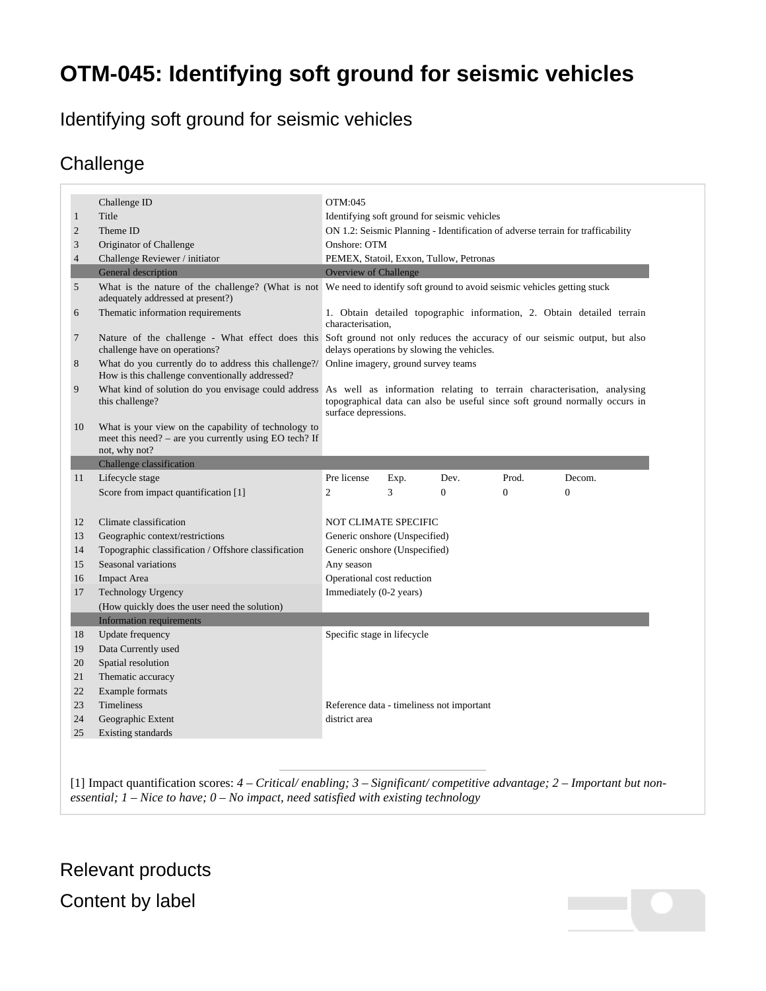## **OTM-045: Identifying soft ground for seismic vehicles**

## Identifying soft ground for seismic vehicles

## **Challenge**

|                | Challenge ID                                                                                                                   | OTM:045                                                                                                                                                                      |      |                |                |          |
|----------------|--------------------------------------------------------------------------------------------------------------------------------|------------------------------------------------------------------------------------------------------------------------------------------------------------------------------|------|----------------|----------------|----------|
| $\mathbf{1}$   | Title                                                                                                                          | Identifying soft ground for seismic vehicles                                                                                                                                 |      |                |                |          |
| $\overline{c}$ | Theme ID                                                                                                                       | ON 1.2: Seismic Planning - Identification of adverse terrain for trafficability                                                                                              |      |                |                |          |
| $\mathfrak{Z}$ | Originator of Challenge                                                                                                        | Onshore: OTM                                                                                                                                                                 |      |                |                |          |
| $\overline{4}$ | Challenge Reviewer / initiator                                                                                                 | PEMEX, Statoil, Exxon, Tullow, Petronas                                                                                                                                      |      |                |                |          |
|                | General description                                                                                                            | <b>Overview of Challenge</b>                                                                                                                                                 |      |                |                |          |
| 5              | adequately addressed at present?)                                                                                              | What is the nature of the challenge? (What is not We need to identify soft ground to avoid seismic vehicles getting stuck                                                    |      |                |                |          |
| 6              | Thematic information requirements                                                                                              | 1. Obtain detailed topographic information, 2. Obtain detailed terrain<br>characterisation,                                                                                  |      |                |                |          |
| $\tau$         | challenge have on operations?                                                                                                  | Nature of the challenge - What effect does this Soft ground not only reduces the accuracy of our seismic output, but also<br>delays operations by slowing the vehicles.      |      |                |                |          |
| $\,8$          | What do you currently do to address this challenge?/<br>How is this challenge conventionally addressed?                        | Online imagery, ground survey teams                                                                                                                                          |      |                |                |          |
| 9              | What kind of solution do you envisage could address<br>this challenge?                                                         | As well as information relating to terrain characterisation, analysing<br>topographical data can also be useful since soft ground normally occurs in<br>surface depressions. |      |                |                |          |
| 10             | What is your view on the capability of technology to<br>meet this need? – are you currently using EO tech? If<br>not, why not? |                                                                                                                                                                              |      |                |                |          |
|                | Challenge classification                                                                                                       |                                                                                                                                                                              |      |                |                |          |
| 11             | Lifecycle stage                                                                                                                | Pre license                                                                                                                                                                  | Exp. | Dev.           | Prod.          | Decom.   |
|                | Score from impact quantification [1]                                                                                           | $\overline{2}$                                                                                                                                                               | 3    | $\overline{0}$ | $\overline{0}$ | $\theta$ |
| 12             | Climate classification                                                                                                         | <b>NOT CLIMATE SPECIFIC</b>                                                                                                                                                  |      |                |                |          |
| 13             | Geographic context/restrictions                                                                                                | Generic onshore (Unspecified)                                                                                                                                                |      |                |                |          |
| 14             | Topographic classification / Offshore classification                                                                           | Generic onshore (Unspecified)                                                                                                                                                |      |                |                |          |
| 15             | Seasonal variations                                                                                                            | Any season                                                                                                                                                                   |      |                |                |          |
| 16             | <b>Impact Area</b>                                                                                                             | Operational cost reduction                                                                                                                                                   |      |                |                |          |
| 17             | <b>Technology Urgency</b>                                                                                                      | Immediately (0-2 years)                                                                                                                                                      |      |                |                |          |
|                | (How quickly does the user need the solution)                                                                                  |                                                                                                                                                                              |      |                |                |          |
|                | <b>Information requirements</b>                                                                                                |                                                                                                                                                                              |      |                |                |          |
| 18             | Update frequency                                                                                                               | Specific stage in lifecycle                                                                                                                                                  |      |                |                |          |
| 19             | Data Currently used                                                                                                            |                                                                                                                                                                              |      |                |                |          |
| 20             | Spatial resolution                                                                                                             |                                                                                                                                                                              |      |                |                |          |
| 21             | Thematic accuracy                                                                                                              |                                                                                                                                                                              |      |                |                |          |
| 22             | <b>Example</b> formats                                                                                                         |                                                                                                                                                                              |      |                |                |          |
| 23             | <b>Timeliness</b>                                                                                                              | Reference data - timeliness not important                                                                                                                                    |      |                |                |          |
| 24             | Geographic Extent                                                                                                              | district area                                                                                                                                                                |      |                |                |          |
|                |                                                                                                                                |                                                                                                                                                                              |      |                |                |          |

<span id="page-0-1"></span><span id="page-0-0"></span>[\[1\]](#page-0-1) Impact quantification scores: *4 – Critical/ enabling; 3 – Significant/ competitive advantage; 2 – Important but nonessential; 1 – Nice to have; 0 – No impact, need satisfied with existing technology*

## Relevant products Content by label